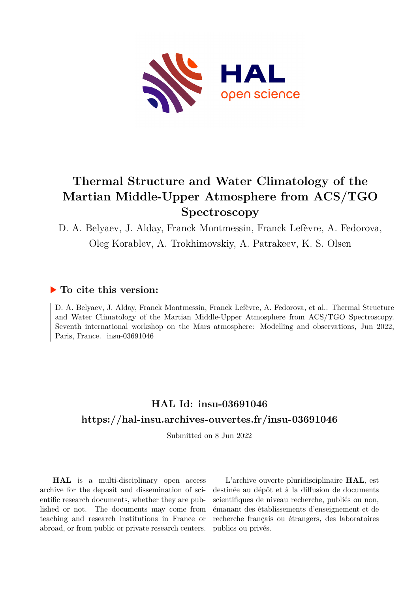

# **Thermal Structure and Water Climatology of the Martian Middle-Upper Atmosphere from ACS/TGO Spectroscopy**

D. A. Belyaev, J. Alday, Franck Montmessin, Franck Lefèvre, A. Fedorova, Oleg Korablev, A. Trokhimovskiy, A. Patrakeev, K. S. Olsen

### **To cite this version:**

D. A. Belyaev, J. Alday, Franck Montmessin, Franck Lefèvre, A. Fedorova, et al.. Thermal Structure and Water Climatology of the Martian Middle-Upper Atmosphere from ACS/TGO Spectroscopy. Seventh international workshop on the Mars atmosphere: Modelling and observations, Jun 2022, Paris, France. insu-03691046

## **HAL Id: insu-03691046 <https://hal-insu.archives-ouvertes.fr/insu-03691046>**

Submitted on 8 Jun 2022

**HAL** is a multi-disciplinary open access archive for the deposit and dissemination of scientific research documents, whether they are published or not. The documents may come from teaching and research institutions in France or abroad, or from public or private research centers.

L'archive ouverte pluridisciplinaire **HAL**, est destinée au dépôt et à la diffusion de documents scientifiques de niveau recherche, publiés ou non, émanant des établissements d'enseignement et de recherche français ou étrangers, des laboratoires publics ou privés.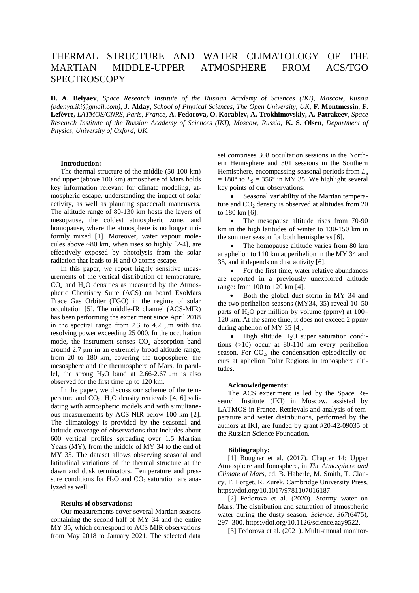## THERMAL STRUCTURE AND WATER CLIMATOLOGY OF THE MARTIAN MIDDLE-UPPER ATMOSPHERE FROM ACS/TGO **SPECTROSCOPY**

**D. A. Belyaev**, *Space Research Institute of the Russian Academy of Sciences (IKI), Moscow, Russia (bdenya.iki@gmail.com)*, **J. Alday,** *School of Physical Sciences, The Open University, UK,* **F. Montmessin**, **F. Lefѐvre,** *LATMOS/CNRS, Paris, France,* **A. Fedorova, O. Korablev, A. Trokhimovskiy, A. Patrakeev**, *Space Research Institute of the Russian Academy of Sciences (IKI), Moscow, Russia,* **K. S. Olsen**, *Department of Physics, University of Oxford, UK*.

#### **Introduction:**

The thermal structure of the middle (50-100 km) and upper (above 100 km) atmosphere of Mars holds key information relevant for climate modeling, atmospheric escape, understanding the impact of solar activity, as well as planning spacecraft maneuvers. The altitude range of 80-130 km hosts the layers of mesopause, the coldest atmospheric zone, and homopause, where the atmosphere is no longer uniformly mixed [1]. Moreover, water vapour molecules above  $~80 \text{ km}$ , when rises so highly [2-4], are effectively exposed by photolysis from the solar radiation that leads to H and O atoms escape.

In this paper, we report highly sensitive measurements of the vertical distribution of temperature,  $CO<sub>2</sub>$  and  $H<sub>2</sub>O$  densities as measured by the Atmospheric Chemistry Suite (ACS) on board ExoMars Trace Gas Orbiter (TGO) in the regime of solar occultation [5]. The middle-IR channel (ACS-MIR) has been performing the experiment since April 2018 in the spectral range from 2.3 to 4.2 μm with the resolving power exceeding 25 000. In the occultation mode, the instrument senses  $CO<sub>2</sub>$  absorption band around 2.7 μm in an extremely broad altitude range, from 20 to 180 km, covering the troposphere, the mesosphere and the thermosphere of Mars. In parallel, the strong  $H_2O$  band at 2.66-2.67  $\mu$ m is also observed for the first time up to 120 km.

In the paper, we discuss our scheme of the temperature and  $CO<sub>2</sub>$ , H<sub>2</sub>O density retrievals [4, 6] validating with atmospheric models and with simultaneous measurements by ACS-NIR below 100 km [2]. The climatology is provided by the seasonal and latitude coverage of observations that includes about 600 vertical profiles spreading over 1.5 Martian Years (MY), from the middle of MY 34 to the end of MY 35. The dataset allows observing seasonal and latitudinal variations of the thermal structure at the dawn and dusk terminators. Temperature and pressure conditions for  $H_2O$  and  $CO_2$  saturation are analyzed as well.

#### **Results of observations:**

Our measurements cover several Martian seasons containing the second half of MY 34 and the entire MY 35, which correspond to ACS MIR observations from May 2018 to January 2021. The selected data

set comprises 308 occultation sessions in the Northern Hemisphere and 301 sessions in the Southern Hemisphere, encompassing seasonal periods from  $L<sub>S</sub>$  $= 180^\circ$  to  $L_s = 356^\circ$  in MY 35. We highlight several key points of our observations:

 Seasonal variability of the Martian temperature and  $CO<sub>2</sub>$  density is observed at altitudes from 20 to 180 km [6].

• The mesopause altitude rises from 70-90 km in the high latitudes of winter to 130-150 km in the summer season for both hemispheres [6].

 The homopause altitude varies from 80 km at aphelion to 110 km at perihelion in the MY 34 and 35, and it depends on dust activity [6].

• For the first time, water relative abundances are reported in a previously unexplored altitude range: from 100 to 120 km [4].

• Both the global dust storm in MY 34 and the two perihelion seasons (MY34, 35) reveal 10–50 parts of  $H_2O$  per million by volume (ppmv) at  $100-$ 120 km. At the same time, it does not exceed 2 ppmv during aphelion of MY 35 [4].

 $\bullet$  High altitude H<sub>2</sub>O super saturation conditions (>10) occur at 80-110 km every perihelion season. For  $CO<sub>2</sub>$ , the condensation episodically occurs at aphelion Polar Regions in troposphere altitudes.

#### **Acknowledgements:**

The ACS experiment is led by the Space Research Institute (IKI) in Moscow, assisted by LATMOS in France. Retrievals and analysis of temperature and water distributions, performed by the authors at IKI, are funded by grant #20-42-09035 of the Russian Science Foundation.

#### **Bibliography:**

[1] Bougher et al. (2017). Chapter 14: Upper Atmosphere and Ionosphere, in *The Atmosphere and Climate of Mars*, ed. B. Haberle, M. Smith, T. Clancy, F. Forget, R. Zurek, Cambridge University Press, https://doi.org/10.1017/9781107016187.

[2] Fedorova et al. (2020). Stormy water on Mars: The distribution and saturation of atmospheric water during the dusty season. *Science*, *367*(6475), 297–300. https://doi.org/10.1126/science.aay9522.

[3] Fedorova et al. (2021). Multi-annual monitor-